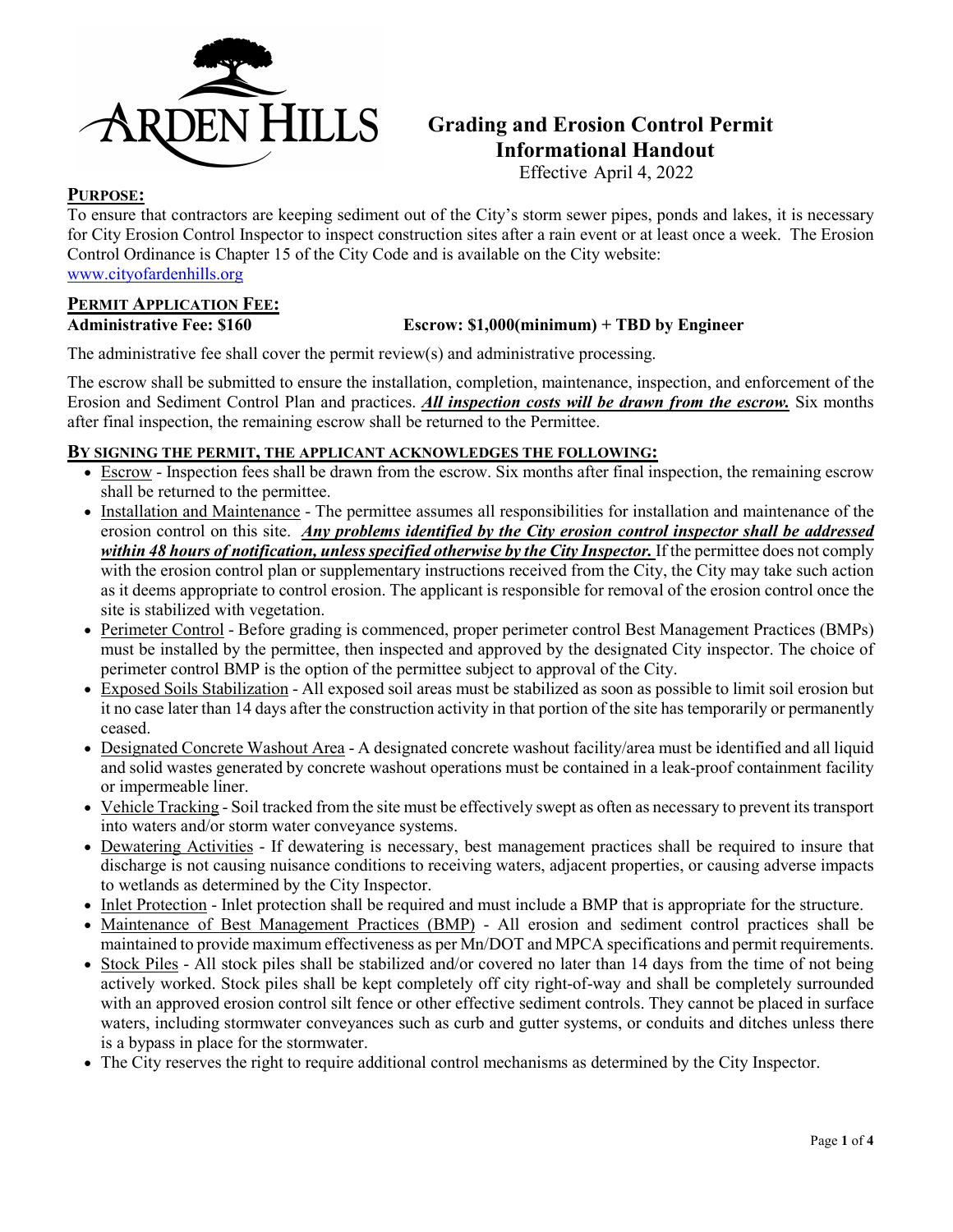

## **Grading and Erosion Control Permit Informational Handout**

Effective April 4, 2022

## **PURPOSE:**

To ensure that contractors are keeping sediment out of the City's storm sewer pipes, ponds and lakes, it is necessary for City Erosion Control Inspector to inspect construction sites after a rain event or at least once a week. The Erosion Control Ordinance is Chapter 15 of the City Code and is available on the City website: [www.cityofardenhills.org](http://www.cityofardenhills.org/)

**PERMIT APPLICATION FEE:** 

## **Administrative Fee: \$160 Escrow: \$1,000(minimum) + TBD by Engineer**

The administrative fee shall cover the permit  $review(s)$  and administrative processing.

The escrow shall be submitted to ensure the installation, completion, maintenance, inspection, and enforcement of the Erosion and Sediment Control Plan and practices. *All inspection costs will be drawn from the escrow.* Six months after final inspection, the remaining escrow shall be returned to the Permittee.

### **BY SIGNING THE PERMIT, THE APPLICANT ACKNOWLEDGES THE FOLLOWING:**

- Escrow Inspection fees shall be drawn from the escrow. Six months after final inspection, the remaining escrow shall be returned to the permittee.
- Installation and Maintenance The permittee assumes all responsibilities for installation and maintenance of the erosion control on this site. *Any problems identified by the City erosion control inspector shall be addressed*  within 48 hours of notification, unless specified otherwise by the City Inspector. If the permittee does not comply with the erosion control plan or supplementary instructions received from the City, the City may take such action as it deems appropriate to control erosion. The applicant is responsible for removal of the erosion control once the site is stabilized with vegetation.
- Perimeter Control Before grading is commenced, proper perimeter control Best Management Practices (BMPs) must be installed by the permittee, then inspected and approved by the designated City inspector. The choice of perimeter control BMP is the option of the permittee subject to approval of the City.
- Exposed Soils Stabilization All exposed soil areas must be stabilized as soon as possible to limit soil erosion but it no case later than 14 days after the construction activity in that portion of the site has temporarily or permanently ceased.
- Designated Concrete Washout Area A designated concrete washout facility/area must be identified and all liquid and solid wastes generated by concrete washout operations must be contained in a leak-proof containment facility or impermeable liner.
- Vehicle Tracking Soil tracked from the site must be effectively swept as often as necessary to prevent its transport into waters and/or storm water conveyance systems.
- Dewatering Activities If dewatering is necessary, best management practices shall be required to insure that discharge is not causing nuisance conditions to receiving waters, adjacent properties, or causing adverse impacts to wetlands as determined by the City Inspector.
- Inlet Protection Inlet protection shall be required and must include a BMP that is appropriate for the structure.
- Maintenance of Best Management Practices (BMP) All erosion and sediment control practices shall be maintained to provide maximum effectiveness as per Mn/DOT and MPCA specifications and permit requirements.
- Stock Piles All stock piles shall be stabilized and/or covered no later than 14 days from the time of not being actively worked. Stock piles shall be kept completely off city right-of-way and shall be completely surrounded with an approved erosion control silt fence or other effective sediment controls. They cannot be placed in surface waters, including stormwater conveyances such as curb and gutter systems, or conduits and ditches unless there is a bypass in place for the stormwater.
- The City reserves the right to require additional control mechanisms as determined by the City Inspector.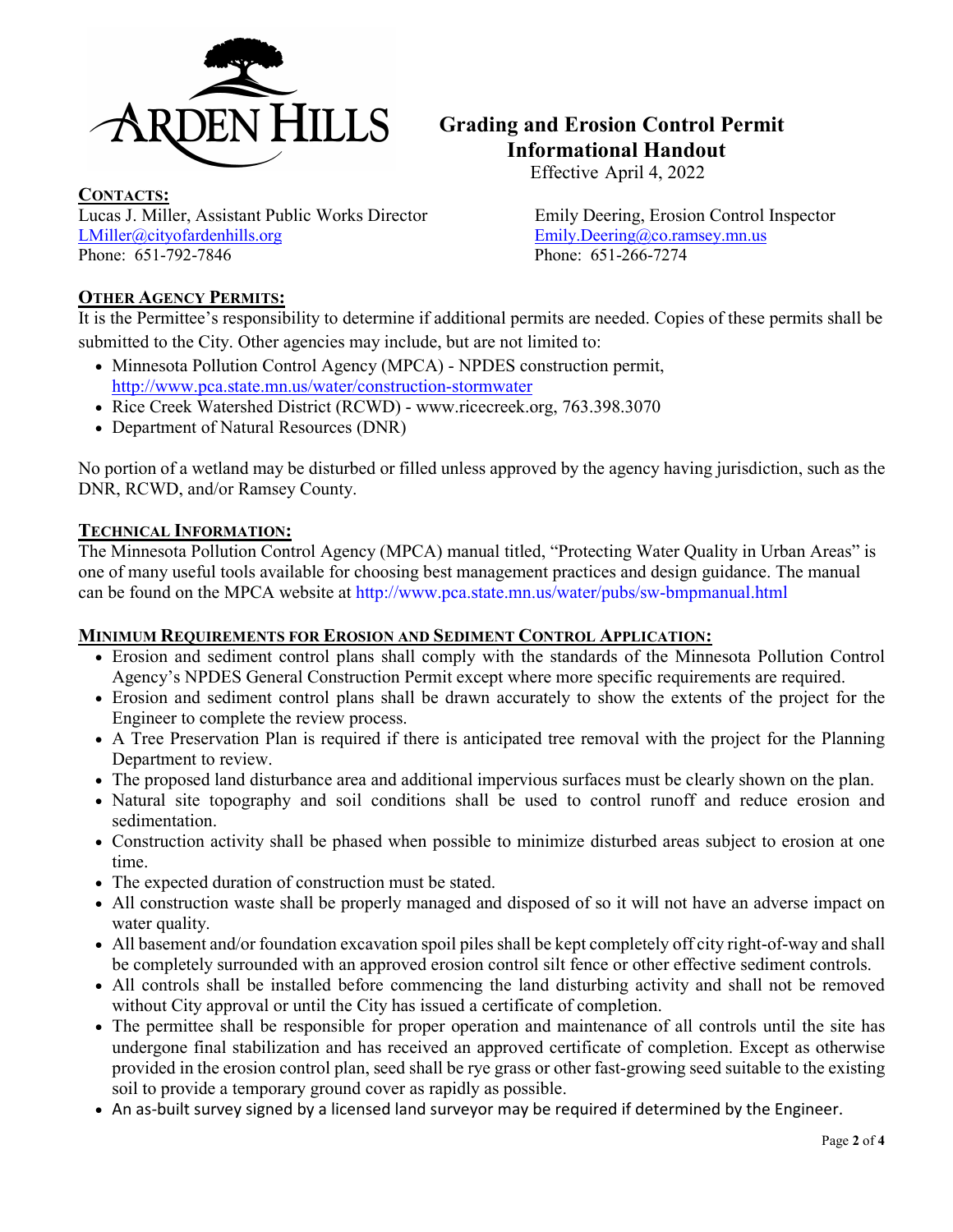

## **Grading and Erosion Control Permit Informational Handout**

Effective April 4, 2022

**CONTACTS:**  Lucas J. Miller, Assistant Public Works Director Emily Deering, Erosion Control Inspector [LMiller@cityofardenhills.org](mailto:LMiller@cityofardenhills.org) [Emily.Deering@co.ramsey.mn.us](mailto:Emily.Deering@co.ramsey.mn.us) Phone: 651-792-7846 Phone: 651-266-7274

## **OTHER AGENCY PERMITS:**

It is the Permittee's responsibility to determine if additional permits are needed. Copies of these permits shall be submitted to the City. Other agencies may include, but are not limited to:

- Minnesota Pollution Control Agency (MPCA) NPDES construction permit, <http://www.pca.state.mn.us/water/construction-stormwater>
- Rice Creek Watershed District (RCWD) - [www.ricecreek.org,](http://www.ricecreek.org/) 763.398.3070
- Department of Natural Resources (DNR)

No portion of a wetland may be disturbed or filled unless approved by the agency having jurisdiction, such as the DNR, RCWD, and/or Ramsey County.

## **TECHNICAL INFORMATION:**

The Minnesota Pollution Control Agency (MPCA) manual titled, "Protecting Water Quality in Urban Areas" is one of many useful tools available for choosing best management practices and design guidance. The manual can be found on the MPCA website at http://www.pca.state.mn.us/water/pubs/sw-bmpmanual.html

## **MINIMUM REQUIREMENTS FOR EROSION AND SEDIMENT CONTROL APPLICATION:**

- Erosion and sediment control plans shall comply with the standards of the Minnesota Pollution Control Agency's NPDES General Construction Permit except where more specific requirements are required.
- Erosion and sediment control plans shall be drawn accurately to show the extents of the project for the Engineer to complete the review process.
- A Tree Preservation Plan is required if there is anticipated tree removal with the project for the Planning Department to review.
- The proposed land disturbance area and additional impervious surfaces must be clearly shown on the plan.
- Natural site topography and soil conditions shall be used to control runoff and reduce erosion and sedimentation.
- Construction activity shall be phased when possible to minimize disturbed areas subject to erosion at one time.
- The expected duration of construction must be stated.
- All construction waste shall be properly managed and disposed of so it will not have an adverse impact on water quality.
- All basement and/or foundation excavation spoil piles shall be kept completely off city right-of-way and shall be completely surrounded with an approved erosion control silt fence or other effective sediment controls.
- All controls shall be installed before commencing the land disturbing activity and shall not be removed without City approval or until the City has issued a certificate of completion.
- The permittee shall be responsible for proper operation and maintenance of all controls until the site has undergone final stabilization and has received an approved certificate of completion. Except as otherwise provided in the erosion control plan, seed shall be rye grass or other fast-growing seed suitable to the existing soil to provide a temporary ground cover as rapidly as possible.
- An as-built survey signed by a licensed land surveyor may be required if determined by the Engineer.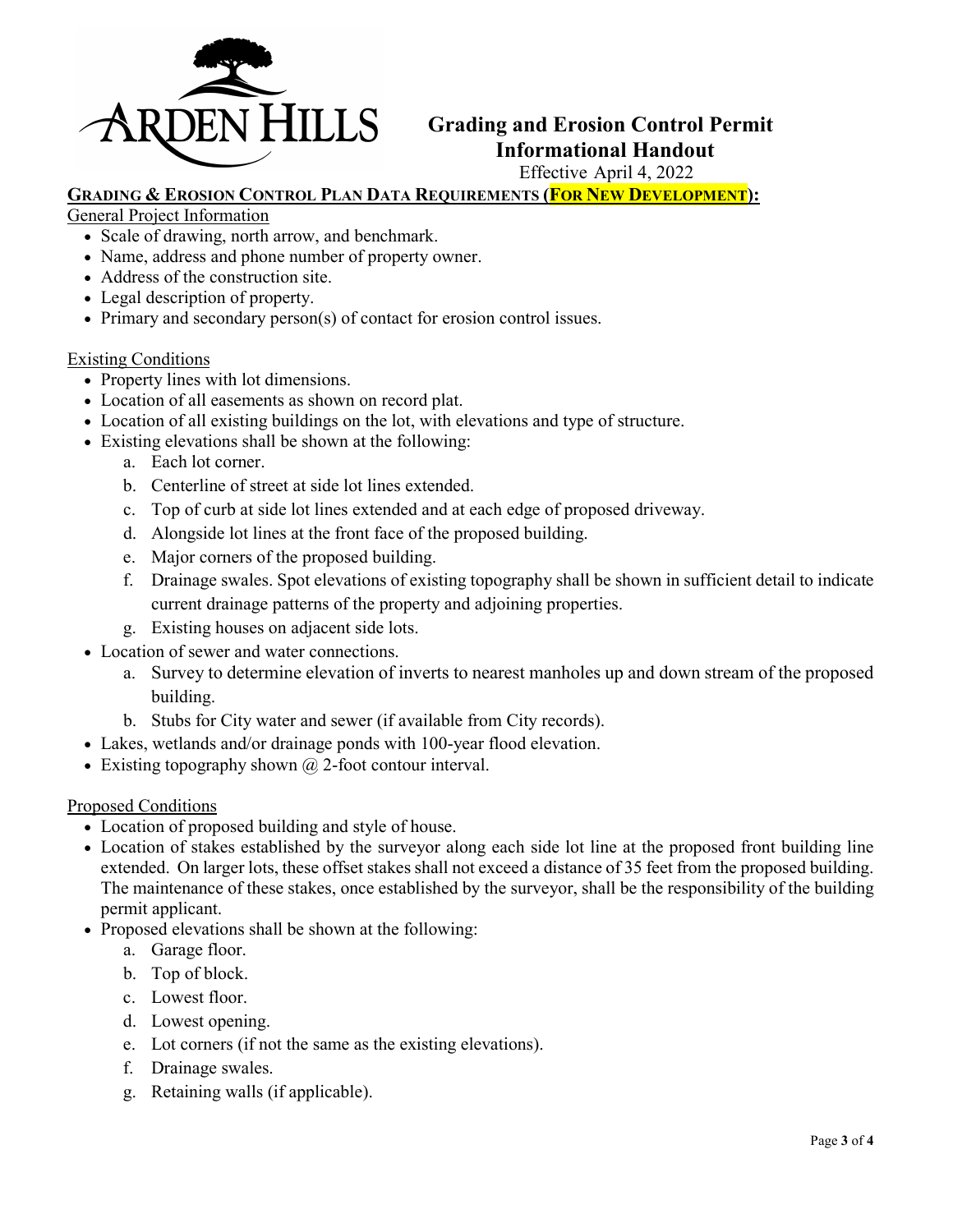

## **Grading and Erosion Control Permit IN HILLS** Grading and Erosion Control Formational Handout

## Effective April 4, 2022

## **GRADING & EROSION CONTROL PLAN DATA REQUIREMENTS (FOR NEW DEVELOPMENT):**

General Project Information

- Scale of drawing, north arrow, and benchmark.
- Name, address and phone number of property owner.
- Address of the construction site.
- Legal description of property.
- Primary and secondary person(s) of contact for erosion control issues.

#### Existing Conditions

- Property lines with lot dimensions.
- Location of all easements as shown on record plat.
- Location of all existing buildings on the lot, with elevations and type of structure.
- Existing elevations shall be shown at the following:
	- a. Each lot corner.
	- b. Centerline of street at side lot lines extended.
	- c. Top of curb at side lot lines extended and at each edge of proposed driveway.
	- d. Alongside lot lines at the front face of the proposed building.
	- e. Major corners of the proposed building.
	- f. Drainage swales. Spot elevations of existing topography shall be shown in sufficient detail to indicate current drainage patterns of the property and adjoining properties.
	- g. Existing houses on adjacent side lots.
- Location of sewer and water connections.
	- a. Survey to determine elevation of inverts to nearest manholes up and down stream of the proposed building.
	- b. Stubs for City water and sewer (if available from City records).
- Lakes, wetlands and/or drainage ponds with 100-year flood elevation.
- Existing topography shown  $\omega$  2-foot contour interval.

### Proposed Conditions

- Location of proposed building and style of house.
- Location of stakes established by the surveyor along each side lot line at the proposed front building line extended. On larger lots, these offset stakes shall not exceed a distance of 35 feet from the proposed building. The maintenance of these stakes, once established by the surveyor, shall be the responsibility of the building permit applicant.
- Proposed elevations shall be shown at the following:
	- a. Garage floor.
	- b. Top of block.
	- c. Lowest floor.
	- d. Lowest opening.
	- e. Lot corners (if not the same as the existing elevations).
	- f. Drainage swales.
	- g. Retaining walls (if applicable).